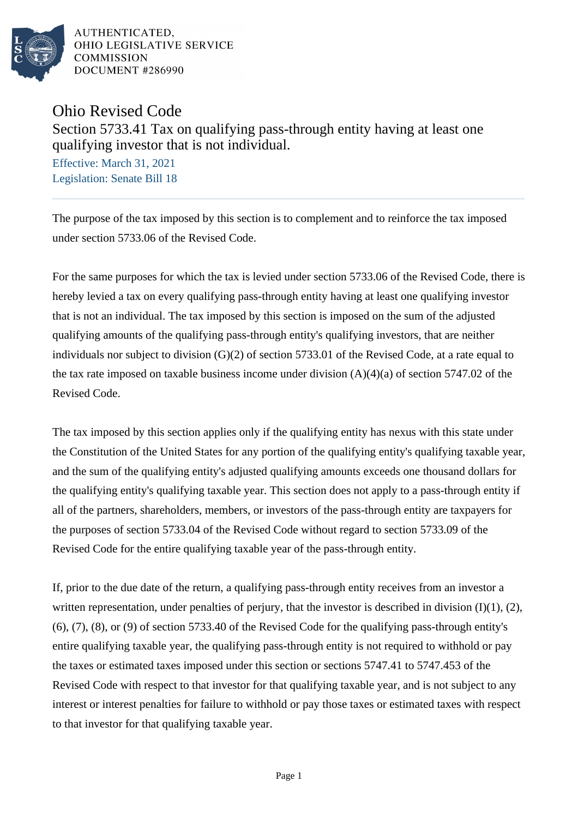

AUTHENTICATED. OHIO LEGISLATIVE SERVICE **COMMISSION** DOCUMENT #286990

Ohio Revised Code

Section 5733.41 Tax on qualifying pass-through entity having at least one qualifying investor that is not individual.

Effective: March 31, 2021 Legislation: Senate Bill 18

The purpose of the tax imposed by this section is to complement and to reinforce the tax imposed under section 5733.06 of the Revised Code.

For the same purposes for which the tax is levied under section 5733.06 of the Revised Code, there is hereby levied a tax on every qualifying pass-through entity having at least one qualifying investor that is not an individual. The tax imposed by this section is imposed on the sum of the adjusted qualifying amounts of the qualifying pass-through entity's qualifying investors, that are neither individuals nor subject to division (G)(2) of section 5733.01 of the Revised Code, at a rate equal to the tax rate imposed on taxable business income under division  $(A)(4)(a)$  of section 5747.02 of the Revised Code.

The tax imposed by this section applies only if the qualifying entity has nexus with this state under the Constitution of the United States for any portion of the qualifying entity's qualifying taxable year, and the sum of the qualifying entity's adjusted qualifying amounts exceeds one thousand dollars for the qualifying entity's qualifying taxable year. This section does not apply to a pass-through entity if all of the partners, shareholders, members, or investors of the pass-through entity are taxpayers for the purposes of section 5733.04 of the Revised Code without regard to section 5733.09 of the Revised Code for the entire qualifying taxable year of the pass-through entity.

If, prior to the due date of the return, a qualifying pass-through entity receives from an investor a written representation, under penalties of perjury, that the investor is described in division (I)(1), (2), (6), (7), (8), or (9) of section 5733.40 of the Revised Code for the qualifying pass-through entity's entire qualifying taxable year, the qualifying pass-through entity is not required to withhold or pay the taxes or estimated taxes imposed under this section or sections 5747.41 to 5747.453 of the Revised Code with respect to that investor for that qualifying taxable year, and is not subject to any interest or interest penalties for failure to withhold or pay those taxes or estimated taxes with respect to that investor for that qualifying taxable year.